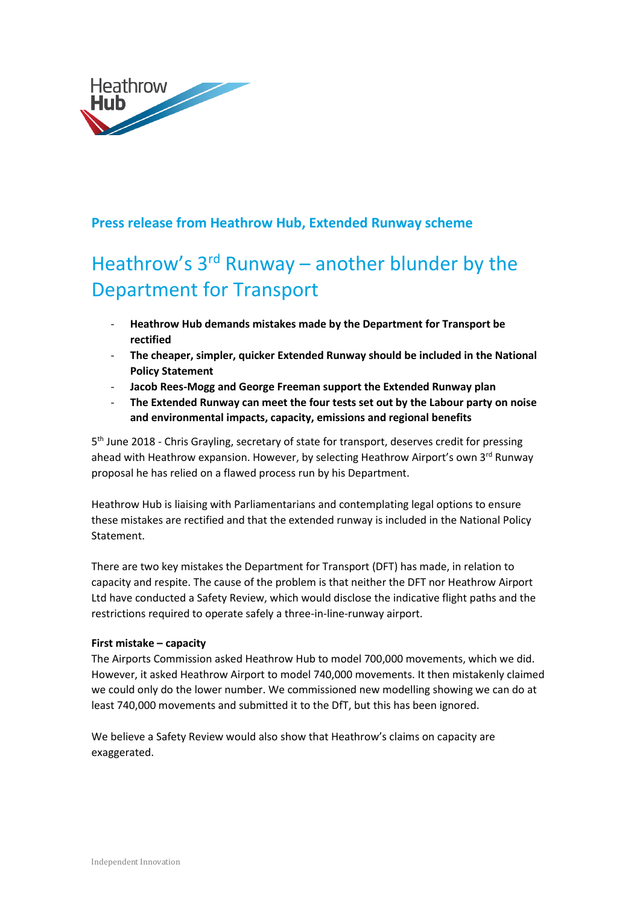

# **Press release from Heathrow Hub, Extended Runway scheme**

# Heathrow's 3<sup>rd</sup> Runway – another blunder by the Department for Transport

- **Heathrow Hub demands mistakes made by the Department for Transport be rectified**
- **The cheaper, simpler, quicker Extended Runway should be included in the National Policy Statement**
- **Jacob Rees-Mogg and George Freeman support the Extended Runway plan**
- **The Extended Runway can meet the four tests set out by the Labour party on noise and environmental impacts, capacity, emissions and regional benefits**

5<sup>th</sup> June 2018 - Chris Grayling, secretary of state for transport, deserves credit for pressing ahead with Heathrow expansion. However, by selecting Heathrow Airport's own 3<sup>rd</sup> Runway proposal he has relied on a flawed process run by his Department.

Heathrow Hub is liaising with Parliamentarians and contemplating legal options to ensure these mistakes are rectified and that the extended runway is included in the National Policy Statement.

There are two key mistakes the Department for Transport (DFT) has made, in relation to capacity and respite. The cause of the problem is that neither the DFT nor Heathrow Airport Ltd have conducted a Safety Review, which would disclose the indicative flight paths and the restrictions required to operate safely a three-in-line-runway airport.

### **First mistake – capacity**

The Airports Commission asked Heathrow Hub to model 700,000 movements, which we did. However, it asked Heathrow Airport to model 740,000 movements. It then mistakenly claimed we could only do the lower number. We commissioned new modelling showing we can do at least 740,000 movements and submitted it to the DfT, but this has been ignored.

We believe a Safety Review would also show that Heathrow's claims on capacity are exaggerated.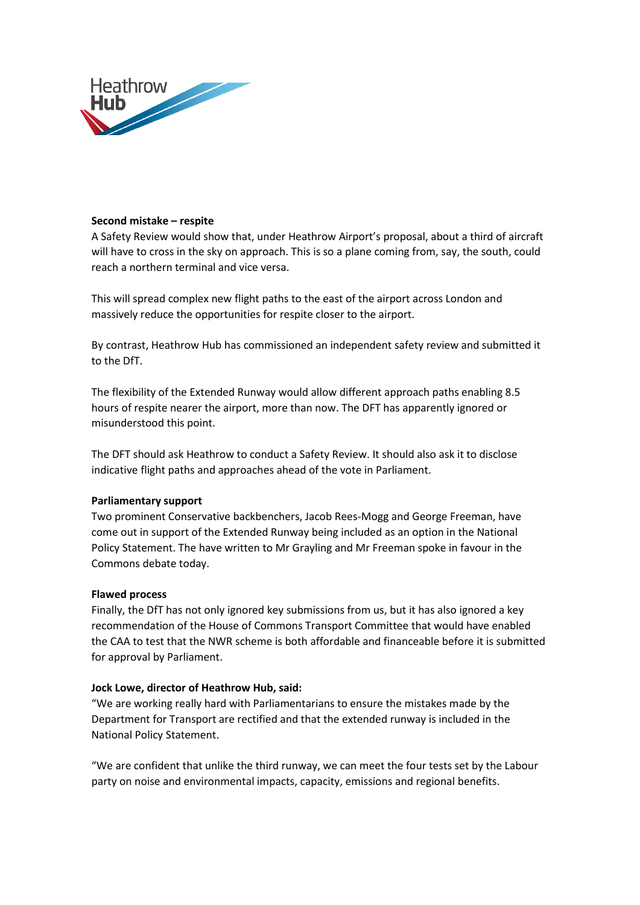

## **Second mistake – respite**

A Safety Review would show that, under Heathrow Airport's proposal, about a third of aircraft will have to cross in the sky on approach. This is so a plane coming from, say, the south, could reach a northern terminal and vice versa.

This will spread complex new flight paths to the east of the airport across London and massively reduce the opportunities for respite closer to the airport.

By contrast, Heathrow Hub has commissioned an independent safety review and submitted it to the DfT.

The flexibility of the Extended Runway would allow different approach paths enabling 8.5 hours of respite nearer the airport, more than now. The DFT has apparently ignored or misunderstood this point.

The DFT should ask Heathrow to conduct a Safety Review. It should also ask it to disclose indicative flight paths and approaches ahead of the vote in Parliament.

### **Parliamentary support**

Two prominent Conservative backbenchers, Jacob Rees-Mogg and George Freeman, have come out in support of the Extended Runway being included as an option in the National Policy Statement. The have written to Mr Grayling and Mr Freeman spoke in favour in the Commons debate today.

### **Flawed process**

Finally, the DfT has not only ignored key submissions from us, but it has also ignored a key recommendation of the House of Commons Transport Committee that would have enabled the CAA to test that the NWR scheme is both affordable and financeable before it is submitted for approval by Parliament.

### **Jock Lowe, director of Heathrow Hub, said:**

"We are working really hard with Parliamentarians to ensure the mistakes made by the Department for Transport are rectified and that the extended runway is included in the National Policy Statement.

"We are confident that unlike the third runway, we can meet the four tests set by the Labour party on noise and environmental impacts, capacity, emissions and regional benefits.